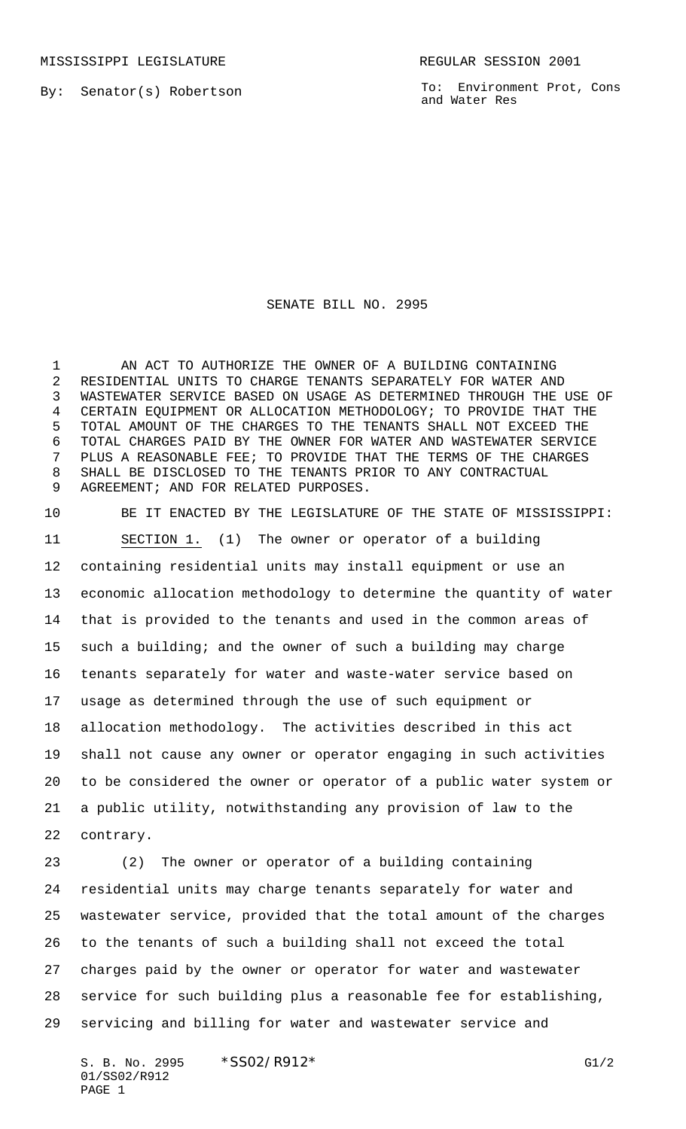MISSISSIPPI LEGISLATURE **REGULAR SESSION 2001** 

By: Senator(s) Robertson

To: Environment Prot, Cons and Water Res

## SENATE BILL NO. 2995

1 AN ACT TO AUTHORIZE THE OWNER OF A BUILDING CONTAINING RESIDENTIAL UNITS TO CHARGE TENANTS SEPARATELY FOR WATER AND WASTEWATER SERVICE BASED ON USAGE AS DETERMINED THROUGH THE USE OF CERTAIN EQUIPMENT OR ALLOCATION METHODOLOGY; TO PROVIDE THAT THE TOTAL AMOUNT OF THE CHARGES TO THE TENANTS SHALL NOT EXCEED THE TOTAL CHARGES PAID BY THE OWNER FOR WATER AND WASTEWATER SERVICE PLUS A REASONABLE FEE; TO PROVIDE THAT THE TERMS OF THE CHARGES SHALL BE DISCLOSED TO THE TENANTS PRIOR TO ANY CONTRACTUAL AGREEMENT; AND FOR RELATED PURPOSES.

 BE IT ENACTED BY THE LEGISLATURE OF THE STATE OF MISSISSIPPI: SECTION 1. (1) The owner or operator of a building containing residential units may install equipment or use an economic allocation methodology to determine the quantity of water that is provided to the tenants and used in the common areas of such a building; and the owner of such a building may charge tenants separately for water and waste-water service based on usage as determined through the use of such equipment or allocation methodology. The activities described in this act shall not cause any owner or operator engaging in such activities to be considered the owner or operator of a public water system or a public utility, notwithstanding any provision of law to the contrary.

 (2) The owner or operator of a building containing residential units may charge tenants separately for water and wastewater service, provided that the total amount of the charges to the tenants of such a building shall not exceed the total charges paid by the owner or operator for water and wastewater service for such building plus a reasonable fee for establishing, servicing and billing for water and wastewater service and

S. B. No. 2995 \* SSO2/R912\* G1/2 01/SS02/R912 PAGE 1